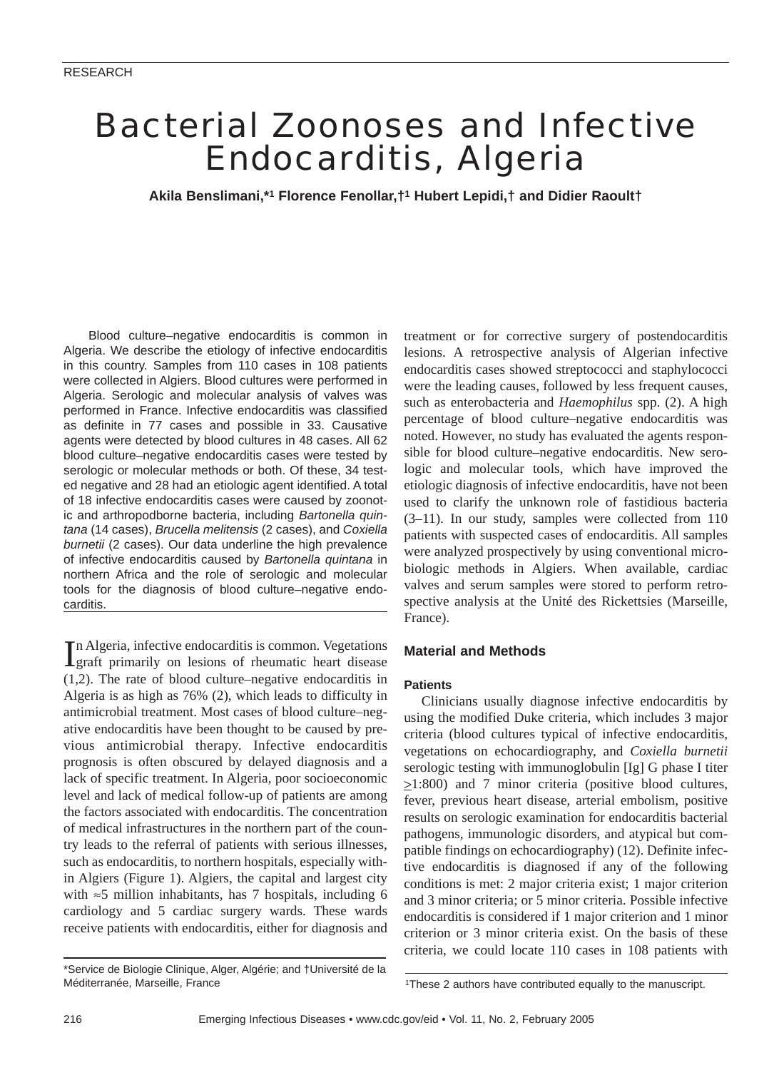# Bacterial Zoonoses and Infective Endocarditis, Algeria

**Akila Benslimani,\*1 Florence Fenollar,†1 Hubert Lepidi,† and Didier Raoult†**

Blood culture–negative endocarditis is common in Algeria. We describe the etiology of infective endocarditis in this country. Samples from 110 cases in 108 patients were collected in Algiers. Blood cultures were performed in Algeria. Serologic and molecular analysis of valves was performed in France. Infective endocarditis was classified as definite in 77 cases and possible in 33. Causative agents were detected by blood cultures in 48 cases. All 62 blood culture–negative endocarditis cases were tested by serologic or molecular methods or both. Of these, 34 tested negative and 28 had an etiologic agent identified. A total of 18 infective endocarditis cases were caused by zoonotic and arthropodborne bacteria, including *Bartonella quintana* (14 cases), *Brucella melitensis* (2 cases), and *Coxiella burnetii* (2 cases). Our data underline the high prevalence of infective endocarditis caused by *Bartonella quintana* in northern Africa and the role of serologic and molecular tools for the diagnosis of blood culture–negative endocarditis.

In Algeria, infective endocarditis is common. Vegetations<br>Igraft primarily on lesions of rheumatic heart disease n Algeria, infective endocarditis is common. Vegetations (1,2). The rate of blood culture–negative endocarditis in Algeria is as high as 76% (2), which leads to difficulty in antimicrobial treatment. Most cases of blood culture–negative endocarditis have been thought to be caused by previous antimicrobial therapy. Infective endocarditis prognosis is often obscured by delayed diagnosis and a lack of specific treatment. In Algeria, poor socioeconomic level and lack of medical follow-up of patients are among the factors associated with endocarditis. The concentration of medical infrastructures in the northern part of the country leads to the referral of patients with serious illnesses, such as endocarditis, to northern hospitals, especially within Algiers (Figure 1). Algiers, the capital and largest city with ≈5 million inhabitants, has 7 hospitals, including 6 cardiology and 5 cardiac surgery wards. These wards receive patients with endocarditis, either for diagnosis and treatment or for corrective surgery of postendocarditis lesions. A retrospective analysis of Algerian infective endocarditis cases showed streptococci and staphylococci were the leading causes, followed by less frequent causes, such as enterobacteria and *Haemophilus* spp. (2). A high percentage of blood culture–negative endocarditis was noted. However, no study has evaluated the agents responsible for blood culture–negative endocarditis. New serologic and molecular tools, which have improved the etiologic diagnosis of infective endocarditis, have not been used to clarify the unknown role of fastidious bacteria (3–11). In our study, samples were collected from 110 patients with suspected cases of endocarditis. All samples were analyzed prospectively by using conventional microbiologic methods in Algiers. When available, cardiac valves and serum samples were stored to perform retrospective analysis at the Unité des Rickettsies (Marseille, France).

## **Material and Methods**

## **Patients**

Clinicians usually diagnose infective endocarditis by using the modified Duke criteria, which includes 3 major criteria (blood cultures typical of infective endocarditis, vegetations on echocardiography, and *Coxiella burnetii* serologic testing with immunoglobulin [Ig] G phase I titer  $\geq$ 1:800) and 7 minor criteria (positive blood cultures, fever, previous heart disease, arterial embolism, positive results on serologic examination for endocarditis bacterial pathogens, immunologic disorders, and atypical but compatible findings on echocardiography) (12). Definite infective endocarditis is diagnosed if any of the following conditions is met: 2 major criteria exist; 1 major criterion and 3 minor criteria; or 5 minor criteria. Possible infective endocarditis is considered if 1 major criterion and 1 minor criterion or 3 minor criteria exist. On the basis of these criteria, we could locate 110 cases in 108 patients with

<sup>\*</sup>Service de Biologie Clinique, Alger, Algérie; and †Université de la Méditerranée, Marseille, France

<sup>1</sup>These 2 authors have contributed equally to the manuscript.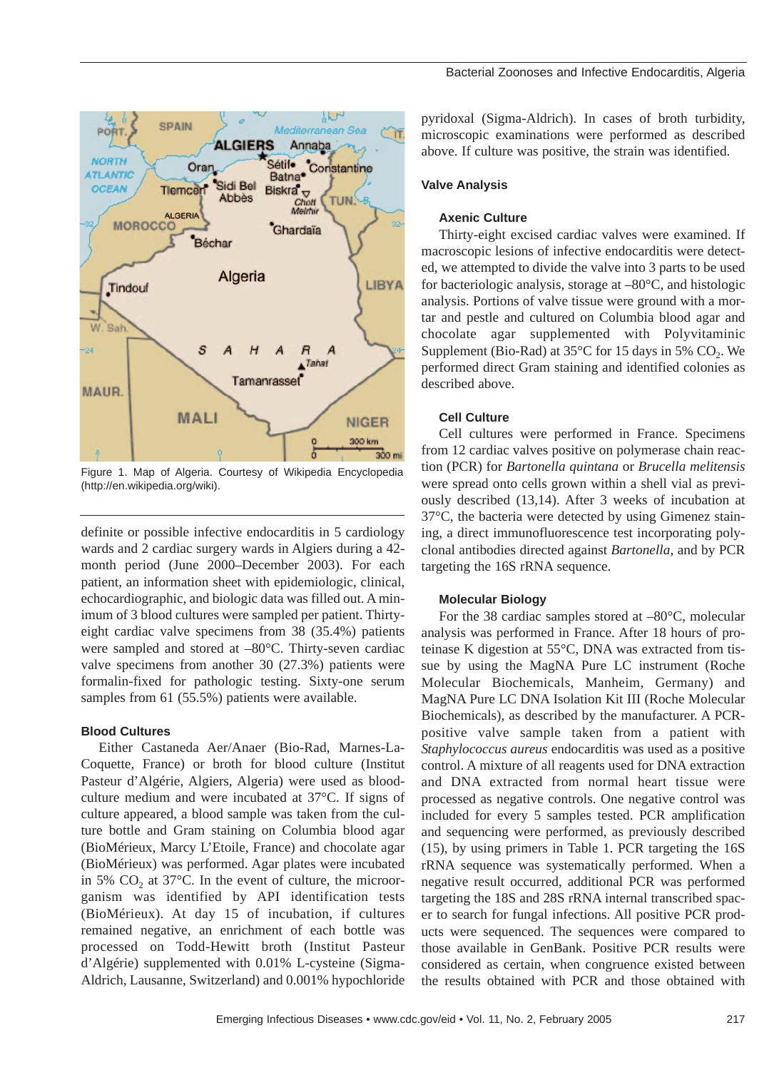

Figure 1. Map of Algeria. Courtesy of Wikipedia Encyclopedia (http://en.wikipedia.org/wiki).

definite or possible infective endocarditis in 5 cardiology wards and 2 cardiac surgery wards in Algiers during a 42 month period (June 2000–December 2003). For each patient, an information sheet with epidemiologic, clinical, echocardiographic, and biologic data was filled out. A minimum of 3 blood cultures were sampled per patient. Thirtyeight cardiac valve specimens from 38 (35.4%) patients were sampled and stored at –80°C. Thirty-seven cardiac valve specimens from another 30 (27.3%) patients were formalin-fixed for pathologic testing. Sixty-one serum samples from 61 (55.5%) patients were available.

#### **Blood Cultures**

Either Castaneda Aer/Anaer (Bio-Rad, Marnes-La-Coquette, France) or broth for blood culture (Institut Pasteur d'Algérie, Algiers*,* Algeria) were used as bloodculture medium and were incubated at 37°C. If signs of culture appeared, a blood sample was taken from the culture bottle and Gram staining on Columbia blood agar (BioMérieux, Marcy L'Etoile, France) and chocolate agar (BioMérieux) was performed. Agar plates were incubated in 5%  $CO<sub>2</sub>$  at 37 $^{\circ}$ C. In the event of culture, the microorganism was identified by API identification tests (BioMérieux). At day 15 of incubation, if cultures remained negative, an enrichment of each bottle was processed on Todd-Hewitt broth (Institut Pasteur d'Algérie) supplemented with 0.01% L-cysteine (Sigma-Aldrich, Lausanne, Switzerland) and 0.001% hypochloride

pyridoxal (Sigma-Aldrich). In cases of broth turbidity, microscopic examinations were performed as described above. If culture was positive, the strain was identified.

## **Valve Analysis**

#### **Axenic Culture**

Thirty-eight excised cardiac valves were examined. If macroscopic lesions of infective endocarditis were detected, we attempted to divide the valve into 3 parts to be used for bacteriologic analysis, storage at –80°C, and histologic analysis. Portions of valve tissue were ground with a mortar and pestle and cultured on Columbia blood agar and chocolate agar supplemented with Polyvitaminic Supplement (Bio-Rad) at  $35^{\circ}$ C for 15 days in 5% CO<sub>2</sub>. We performed direct Gram staining and identified colonies as described above.

## **Cell Culture**

Cell cultures were performed in France. Specimens from 12 cardiac valves positive on polymerase chain reaction (PCR) for *Bartonella quintana* or *Brucella melitensis* were spread onto cells grown within a shell vial as previously described (13,14). After 3 weeks of incubation at 37°C, the bacteria were detected by using Gimenez staining, a direct immunofluorescence test incorporating polyclonal antibodies directed against *Bartonella*, and by PCR targeting the 16S rRNA sequence.

## **Molecular Biology**

For the 38 cardiac samples stored at –80°C, molecular analysis was performed in France. After 18 hours of proteinase K digestion at 55°C, DNA was extracted from tissue by using the MagNA Pure LC instrument (Roche Molecular Biochemicals, Manheim, Germany) and MagNA Pure LC DNA Isolation Kit III (Roche Molecular Biochemicals), as described by the manufacturer. A PCRpositive valve sample taken from a patient with *Staphylococcus aureus* endocarditis was used as a positive control. A mixture of all reagents used for DNA extraction and DNA extracted from normal heart tissue were processed as negative controls. One negative control was included for every 5 samples tested. PCR amplification and sequencing were performed, as previously described (15), by using primers in Table 1. PCR targeting the 16S rRNA sequence was systematically performed. When a negative result occurred, additional PCR was performed targeting the 18S and 28S rRNA internal transcribed spacer to search for fungal infections. All positive PCR products were sequenced. The sequences were compared to those available in GenBank. Positive PCR results were considered as certain, when congruence existed between the results obtained with PCR and those obtained with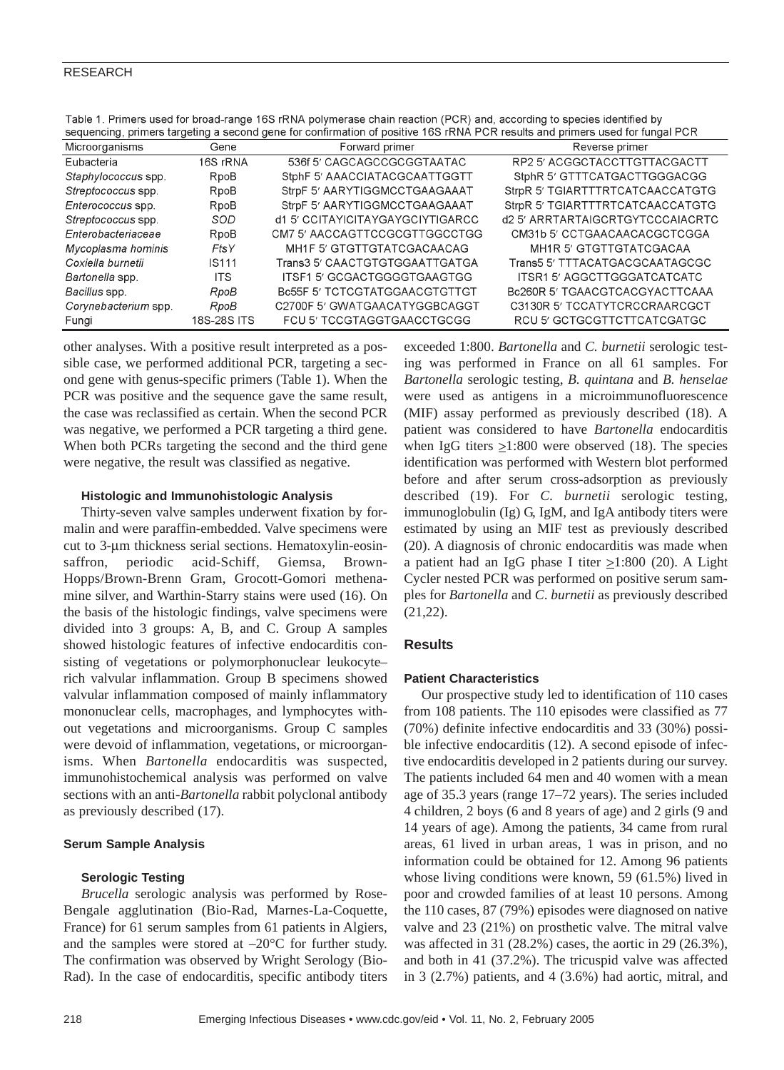| sequencing, primers targeting a second gene for confirmation of positive 16S rRNA PCR results and primers used for fungal PCR |                   |                                      |                                  |  |  |  |  |
|-------------------------------------------------------------------------------------------------------------------------------|-------------------|--------------------------------------|----------------------------------|--|--|--|--|
| Microorganisms                                                                                                                | Gene              | Forward primer                       | Reverse primer                   |  |  |  |  |
| Eubacteria                                                                                                                    | 16S rRNA          | 536f 5' CAGCAGCCGCGGTAATAC           | RP2 5' ACGGCTACCTTGTTACGACTT     |  |  |  |  |
| Staphylococcus spp.                                                                                                           | RpoB              | StphF 5' AAACCIATACGCAATTGGTT        | StphR 5' GTTTCATGACTTGGGACGG     |  |  |  |  |
| Streptococcus spp.                                                                                                            | RpoB              | StrpF 5' AARYTIGGMCCTGAAGAAAT        | StrpR 5' TGIARTTTRTCATCAACCATGTG |  |  |  |  |
| Enterococcus spp.                                                                                                             | RpoB              | StrpF 5' AARYTIGGMCCTGAAGAAAT        | StrpR 5' TGIARTTTRTCATCAACCATGTG |  |  |  |  |
| Streptococcus spp.                                                                                                            | SOD               | d1 5' CCITAYICITAYGAYGCIYTIGARCC     | d2.5' ARRTARTAIGCRTGYTCCCAIACRTC |  |  |  |  |
| Enterobacteriaceae                                                                                                            | RpoB              | CM7 5' AACCAGTTCCGCGTTGGCCTGG        | CM31b 5' CCTGAACAACACGCTCGGA     |  |  |  |  |
| Mycoplasma hominis                                                                                                            | FtsY              | MH1F 5' GTGTTGTATCGACAACAG           | MH1R 5' GTGTTGTATCGACAA          |  |  |  |  |
| Coxiella burnetii                                                                                                             | IS <sub>111</sub> | Trans3 5' CAACTGTGTGGAATTGATGA       | Trans5 5' TTTACATGACGCAATAGCGC   |  |  |  |  |
| Bartonella spp.                                                                                                               | <b>ITS</b>        | ITSF1 5' GCGACTGGGGTGAAGTGG          | ITSR1 5' AGGCTTGGGATCATCATC      |  |  |  |  |
| Bacillus spp.                                                                                                                 | RpoB              | <b>Bc55F 5' TCTCGTATGGAACGTGTTGT</b> | Bc260R 5' TGAACGTCACGYACTTCAAA   |  |  |  |  |
| Corynebacterium spp.                                                                                                          | RpoB              | C2700F 5' GWATGAACATYGGBCAGGT        | C3130R 5' TCCATYTCRCCRAARCGCT    |  |  |  |  |
| Fungi                                                                                                                         | 18S-28S ITS       | FCU 5' TCCGTAGGTGAACCTGCGG           | RCU 5' GCTGCGTTCTTCATCGATGC      |  |  |  |  |

Table 1. Primers used for broad-range 16S rRNA polymerase chain reaction (PCR) and, according to species identified by

other analyses. With a positive result interpreted as a possible case, we performed additional PCR, targeting a second gene with genus-specific primers (Table 1). When the PCR was positive and the sequence gave the same result, the case was reclassified as certain. When the second PCR was negative, we performed a PCR targeting a third gene. When both PCRs targeting the second and the third gene were negative, the result was classified as negative.

#### **Histologic and Immunohistologic Analysis**

Thirty-seven valve samples underwent fixation by formalin and were paraffin-embedded. Valve specimens were cut to 3-µm thickness serial sections. Hematoxylin-eosinsaffron, periodic acid-Schiff, Giemsa, Brown-Hopps/Brown-Brenn Gram, Grocott-Gomori methenamine silver, and Warthin-Starry stains were used (16). On the basis of the histologic findings, valve specimens were divided into 3 groups: A, B, and C. Group A samples showed histologic features of infective endocarditis consisting of vegetations or polymorphonuclear leukocyte– rich valvular inflammation. Group B specimens showed valvular inflammation composed of mainly inflammatory mononuclear cells, macrophages, and lymphocytes without vegetations and microorganisms. Group C samples were devoid of inflammation, vegetations, or microorganisms. When *Bartonella* endocarditis was suspected, immunohistochemical analysis was performed on valve sections with an anti-*Bartonella* rabbit polyclonal antibody as previously described (17).

## **Serum Sample Analysis**

## **Serologic Testing**

*Brucella* serologic analysis was performed by Rose-Bengale agglutination (Bio-Rad, Marnes-La-Coquette, France) for 61 serum samples from 61 patients in Algiers, and the samples were stored at  $-20^{\circ}$ C for further study. The confirmation was observed by Wright Serology (Bio-Rad). In the case of endocarditis, specific antibody titers exceeded 1:800. *Bartonella* and *C. burnetii* serologic testing was performed in France on all 61 samples. For *Bartonella* serologic testing, *B. quintana* and *B. henselae* were used as antigens in a microimmunofluorescence (MIF) assay performed as previously described (18). A patient was considered to have *Bartonella* endocarditis when IgG titers  $\geq$ 1:800 were observed (18). The species identification was performed with Western blot performed before and after serum cross-adsorption as previously described (19). For *C. burnetii* serologic testing, immunoglobulin (Ig) G, IgM, and IgA antibody titers were estimated by using an MIF test as previously described (20). A diagnosis of chronic endocarditis was made when a patient had an IgG phase I titer  $\geq$ 1:800 (20). A Light Cycler nested PCR was performed on positive serum samples for *Bartonella* and *C*. *burnetii* as previously described (21,22).

## **Results**

## **Patient Characteristics**

Our prospective study led to identification of 110 cases from 108 patients. The 110 episodes were classified as 77 (70%) definite infective endocarditis and 33 (30%) possible infective endocarditis (12). A second episode of infective endocarditis developed in 2 patients during our survey. The patients included 64 men and 40 women with a mean age of 35.3 years (range 17–72 years). The series included 4 children, 2 boys (6 and 8 years of age) and 2 girls (9 and 14 years of age). Among the patients, 34 came from rural areas, 61 lived in urban areas, 1 was in prison, and no information could be obtained for 12. Among 96 patients whose living conditions were known, 59 (61.5%) lived in poor and crowded families of at least 10 persons. Among the 110 cases, 87 (79%) episodes were diagnosed on native valve and 23 (21%) on prosthetic valve. The mitral valve was affected in 31 (28.2%) cases, the aortic in 29 (26.3%), and both in 41 (37.2%). The tricuspid valve was affected in 3 (2.7%) patients, and 4 (3.6%) had aortic, mitral, and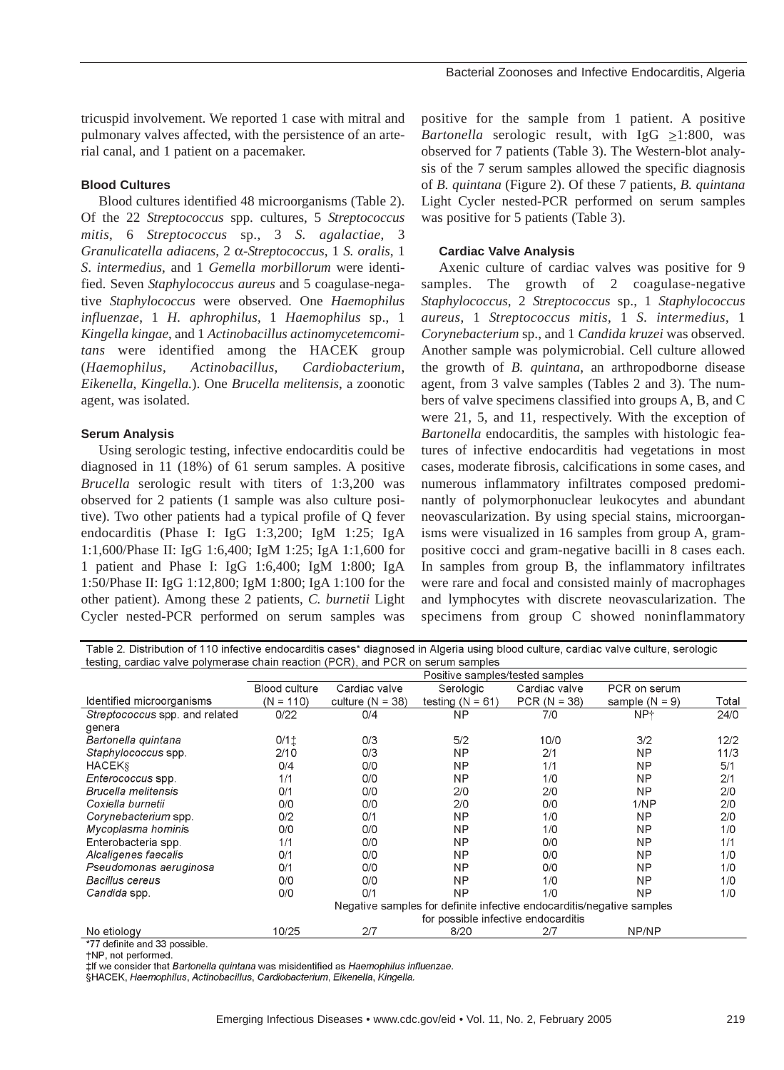tricuspid involvement. We reported 1 case with mitral and pulmonary valves affected, with the persistence of an arterial canal, and 1 patient on a pacemaker.

## **Blood Cultures**

Blood cultures identified 48 microorganisms (Table 2). Of the 22 *Streptococcus* spp. cultures, 5 *Streptococcus mitis*, 6 *Streptococcus* sp., 3 *S. agalactiae*, 3 *Granulicatella adiacens*, 2 α-*Streptococcus*, 1 *S. oralis*, 1 *S*. *intermedius*, and 1 *Gemella morbillorum* were identified. Seven *Staphylococcus aureus* and 5 coagulase-negative *Staphylococcus* were observed. One *Haemophilus influenzae*, 1 *H. aphrophilus*, 1 *Haemophilus* sp., 1 *Kingella kingae*, and 1 *Actinobacillus actinomycetemcomitans* were identified among the HACEK group (*Haemophilus*, *Actinobacillus*, *Cardiobacterium*, *Eikenella*, *Kingella.*). One *Brucella melitensis*, a zoonotic agent, was isolated.

#### **Serum Analysis**

Using serologic testing, infective endocarditis could be diagnosed in 11 (18%) of 61 serum samples. A positive *Brucella* serologic result with titers of 1:3,200 was observed for 2 patients (1 sample was also culture positive). Two other patients had a typical profile of Q fever endocarditis (Phase I: IgG 1:3,200; IgM 1:25; IgA 1:1,600/Phase II: IgG 1:6,400; IgM 1:25; IgA 1:1,600 for 1 patient and Phase I: IgG 1:6,400; IgM 1:800; IgA 1:50/Phase II: IgG 1:12,800; IgM 1:800; IgA 1:100 for the other patient). Among these 2 patients, *C. burnetii* Light Cycler nested-PCR performed on serum samples was

positive for the sample from 1 patient. A positive *Bartonella* serologic result, with IgG  $\geq$ 1:800, was observed for 7 patients (Table 3). The Western-blot analysis of the 7 serum samples allowed the specific diagnosis of *B. quintana* (Figure 2). Of these 7 patients, *B. quintana* Light Cycler nested-PCR performed on serum samples was positive for 5 patients (Table 3).

## **Cardiac Valve Analysis**

Axenic culture of cardiac valves was positive for 9 samples. The growth of 2 coagulase-negative *Staphylococcus*, 2 *Streptococcus* sp., 1 *Staphylococcus aureus*, 1 *Streptococcus mitis*, 1 *S. intermedius*, 1 *Corynebacterium* sp., and 1 *Candida kruzei* was observed. Another sample was polymicrobial. Cell culture allowed the growth of *B. quintana*, an arthropodborne disease agent, from 3 valve samples (Tables 2 and 3). The numbers of valve specimens classified into groups A, B, and C were 21, 5, and 11, respectively. With the exception of *Bartonella* endocarditis, the samples with histologic features of infective endocarditis had vegetations in most cases, moderate fibrosis, calcifications in some cases, and numerous inflammatory infiltrates composed predominantly of polymorphonuclear leukocytes and abundant neovascularization. By using special stains, microorganisms were visualized in 16 samples from group A, grampositive cocci and gram-negative bacilli in 8 cases each. In samples from group B, the inflammatory infiltrates were rare and focal and consisted mainly of macrophages and lymphocytes with discrete neovascularization. The specimens from group C showed noninflammatory

| Table 2. Distribution of 110 infective endocarditis cases* diagnosed in Algeria using blood culture, cardiac valve culture, serologic |                                                                       |                                             |                    |                |                  |       |  |  |
|---------------------------------------------------------------------------------------------------------------------------------------|-----------------------------------------------------------------------|---------------------------------------------|--------------------|----------------|------------------|-------|--|--|
| testing, cardiac valve polymerase chain reaction (PCR), and PCR on serum samples                                                      |                                                                       |                                             |                    |                |                  |       |  |  |
|                                                                                                                                       | Positive samples/tested samples                                       |                                             |                    |                |                  |       |  |  |
|                                                                                                                                       | <b>Blood culture</b>                                                  | Cardiac valve<br>Serologic<br>Cardiac valve |                    |                | PCR on serum     |       |  |  |
| Identified microorganisms                                                                                                             | $(N = 110)$                                                           | culture $(N = 38)$                          | testing $(N = 61)$ | $PCR (N = 38)$ | sample $(N = 9)$ | Total |  |  |
| Streptococcus spp. and related                                                                                                        | 0/22                                                                  | 0/4                                         | <b>NP</b>          | 7/0            | NP+              | 24/0  |  |  |
| genera                                                                                                                                |                                                                       |                                             |                    |                |                  |       |  |  |
| Bartonella quintana                                                                                                                   | 0/1±                                                                  | 0/3                                         | 5/2                | 10/0           | 3/2              | 12/2  |  |  |
| Staphylococcus spp.                                                                                                                   | 2/10                                                                  | 0/3                                         | <b>NP</b>          | 2/1            | <b>NP</b>        | 11/3  |  |  |
| <b>HACEKS</b>                                                                                                                         | 0/4                                                                   | 0/0                                         | <b>NP</b>          | 1/1            | NP               | 5/1   |  |  |
| Enterococcus spp.                                                                                                                     | 1/1                                                                   | 0/0                                         | <b>NP</b>          | 1/0            | NP               | 2/1   |  |  |
| Brucella melitensis                                                                                                                   | O/1                                                                   | 0/0                                         | 2/0                | 2/0            | NP               | 2/0   |  |  |
| Coxiella burnetii                                                                                                                     | 0/0                                                                   | 0/0                                         | 2/0                | 0/0            | 1/NP             | 2/0   |  |  |
| Corvnebacterium spp.                                                                                                                  | 0/2                                                                   | 0/1                                         | <b>NP</b>          | 1/0            | <b>NP</b>        | 2/0   |  |  |
| Mycoplasma hominis                                                                                                                    | 0/0                                                                   | 0/0                                         | <b>NP</b>          | 1/0            | NP.              | 1/0   |  |  |
| Enterobacteria spp.                                                                                                                   | 1/1                                                                   | 0/0                                         | <b>NP</b>          | 0/0            | NP               | 1/1   |  |  |
| Alcaligenes faecalis                                                                                                                  | O/1                                                                   | 0/0                                         | <b>NP</b>          | 0/0            | NP               | 1/0   |  |  |
| Pseudomonas aeruginosa                                                                                                                | 0/1                                                                   | 0/0                                         | NΡ                 | 0/0            | NΡ               | 1/0   |  |  |
| <b>Bacillus cereus</b>                                                                                                                | 0/0                                                                   | 0/0                                         | NΡ                 | 1/0            | NΡ               | 1/0   |  |  |
| Candida spp.                                                                                                                          | 0/0                                                                   | O/1                                         | <b>NP</b>          | 1/0            | NP               | 1/0   |  |  |
|                                                                                                                                       | Negative samples for definite infective endocarditis/negative samples |                                             |                    |                |                  |       |  |  |
|                                                                                                                                       |                                                                       | for possible infective endocarditis         |                    |                |                  |       |  |  |
| No etiology                                                                                                                           | 10/25                                                                 | 2/7                                         | 8/20               | 2/7            | NP/NP            |       |  |  |

\*77 definite and 33 possible.

†NP, not performed.

‡If we consider that Bartonella quintana was misidentified as Haemophilus influenzae.

§HACEK, Haemophilus, Actinobacillus, Cardiobacterium, Eikenella, Kingella.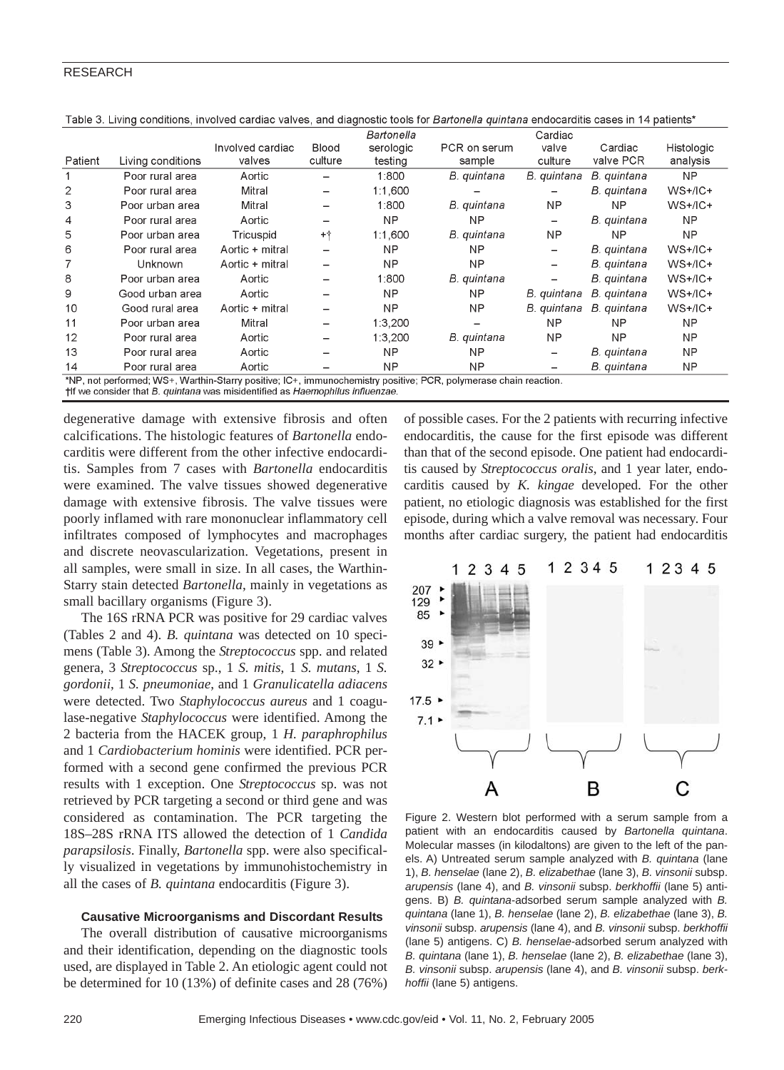|                                                                                                                  |                   |                  |                          | Bartonella |                          | Cardiac                  |             |            |
|------------------------------------------------------------------------------------------------------------------|-------------------|------------------|--------------------------|------------|--------------------------|--------------------------|-------------|------------|
|                                                                                                                  |                   | Involved cardiac | Blood                    | serologic  | PCR on serum             | valve                    | Cardiac     | Histologic |
| Patient                                                                                                          | Living conditions | valves           | culture                  | testing    | sample                   | culture                  | valve PCR   | analysis   |
|                                                                                                                  | Poor rural area   | Aortic           |                          | 1:800      | B. quintana              | B. quintana              | B. quintana | NP         |
| $\overline{2}$                                                                                                   | Poor rural area   | Mitral           |                          | 1:1,600    |                          |                          | B. quintana | $WS+/IC+$  |
| 3                                                                                                                | Poor urban area   | Mitral           |                          | 1:800      | B. quintana              | NP                       | NΡ          | $WS+/IC+$  |
| 4                                                                                                                | Poor rural area   | Aortic           |                          | NP         | NΡ                       | -                        | B. quintana | NΡ         |
| 5                                                                                                                | Poor urban area   | Tricuspid        | $+ +$                    | 1:1.600    | B. quintana              | <b>NP</b>                | NΡ          | NP         |
| 6                                                                                                                | Poor rural area   | Aortic + mitral  |                          | <b>NP</b>  | NP                       | $\overline{\phantom{0}}$ | B. quintana | $WS+/IC+$  |
|                                                                                                                  | Unknown           | Aortic + mitral  |                          | <b>NP</b>  | NΡ                       | -                        | B. quintana | $WS+/IC+$  |
| 8                                                                                                                | Poor urban area   | Aortic           |                          | 1:800      | B. quintana              |                          | B. quintana | $WS+/IC+$  |
| 9                                                                                                                | Good urban area   | Aortic           | -                        | NΡ         | NΡ                       | B. quintana              | B. quintana | $WS+/IC+$  |
| 10                                                                                                               | Good rural area   | Aortic + mitral  |                          | <b>NP</b>  | <b>NP</b>                | B. quintana              | B. quintana | $WS+/IC+$  |
| 11                                                                                                               | Poor urban area   | Mitral           | $\overline{\phantom{0}}$ | 1:3,200    | $\overline{\phantom{0}}$ | NP                       | NΡ          | <b>NP</b>  |
| 12                                                                                                               | Poor rural area   | Aortic           |                          | 1:3.200    | B. quintana              | NP                       | NΡ          | <b>NP</b>  |
| 13                                                                                                               | Poor rural area   | Aortic           |                          | <b>NP</b>  | NΡ                       | $\overline{\phantom{0}}$ | B. quintana | ΝP         |
| 14                                                                                                               | Poor rural area   | Aortic           |                          | <b>NP</b>  | NΡ                       |                          | B. quintana | ΝP         |
| *NP, not performed; WS+, Warthin-Starry positive; IC+, immunochemistry positive; PCR, polymerase chain reaction. |                   |                  |                          |            |                          |                          |             |            |
| the we consider that B, quintana was misidentified as Haemophilus influenzae.                                    |                   |                  |                          |            |                          |                          |             |            |

Table 3. Living conditions, involved cardiac valves, and diagnostic tools for Bartonella quintana endocarditis cases in 14 patients\*

degenerative damage with extensive fibrosis and often calcifications. The histologic features of *Bartonella* endocarditis were different from the other infective endocarditis. Samples from 7 cases with *Bartonella* endocarditis were examined. The valve tissues showed degenerative damage with extensive fibrosis. The valve tissues were poorly inflamed with rare mononuclear inflammatory cell infiltrates composed of lymphocytes and macrophages and discrete neovascularization. Vegetations, present in all samples, were small in size. In all cases, the Warthin-Starry stain detected *Bartonella*, mainly in vegetations as small bacillary organisms (Figure 3).

The 16S rRNA PCR was positive for 29 cardiac valves (Tables 2 and 4). *B. quintana* was detected on 10 specimens (Table 3). Among the *Streptococcus* spp. and related genera, 3 *Streptococcus* sp., 1 *S. mitis*, 1 *S. mutans*, 1 *S. gordonii*, 1 *S. pneumoniae*, and 1 *Granulicatella adiacens* were detected. Two *Staphylococcus aureus* and 1 coagulase-negative *Staphylococcus* were identified. Among the 2 bacteria from the HACEK group, 1 *H. paraphrophilus* and 1 *Cardiobacterium hominis* were identified. PCR performed with a second gene confirmed the previous PCR results with 1 exception. One *Streptococcus* sp. was not retrieved by PCR targeting a second or third gene and was considered as contamination. The PCR targeting the 18S–28S rRNA ITS allowed the detection of 1 *Candida parapsilosis*. Finally, *Bartonella* spp. were also specifically visualized in vegetations by immunohistochemistry in all the cases of *B. quintana* endocarditis (Figure 3).

## **Causative Microorganisms and Discordant Results**

The overall distribution of causative microorganisms and their identification, depending on the diagnostic tools used, are displayed in Table 2. An etiologic agent could not be determined for 10 (13%) of definite cases and 28 (76%) of possible cases. For the 2 patients with recurring infective endocarditis, the cause for the first episode was different than that of the second episode. One patient had endocarditis caused by *Streptococcus oralis*, and 1 year later, endocarditis caused by *K. kingae* developed. For the other patient, no etiologic diagnosis was established for the first episode, during which a valve removal was necessary. Four months after cardiac surgery, the patient had endocarditis



Figure 2. Western blot performed with a serum sample from a patient with an endocarditis caused by *Bartonella quintana*. Molecular masses (in kilodaltons) are given to the left of the panels. A) Untreated serum sample analyzed with *B. quintana* (lane 1), *B. henselae* (lane 2), *B. elizabethae* (lane 3), *B. vinsonii* subsp. *arupensis* (lane 4), and *B. vinsonii* subsp. *berkhoffii* (lane 5) antigens. B) *B. quintana*-adsorbed serum sample analyzed with *B. quintana* (lane 1), *B. henselae* (lane 2), *B. elizabethae* (lane 3), *B. vinsonii* subsp. *arupensis* (lane 4), and *B. vinsonii* subsp. *berkhoffii* (lane 5) antigens. C) *B. henselae*-adsorbed serum analyzed with *B. quintana* (lane 1), *B. henselae* (lane 2), *B. elizabethae* (lane 3), *B. vinsonii* subsp. *arupensis* (lane 4), and *B. vinsonii* subsp. *berkhoffii* (lane 5) antigens.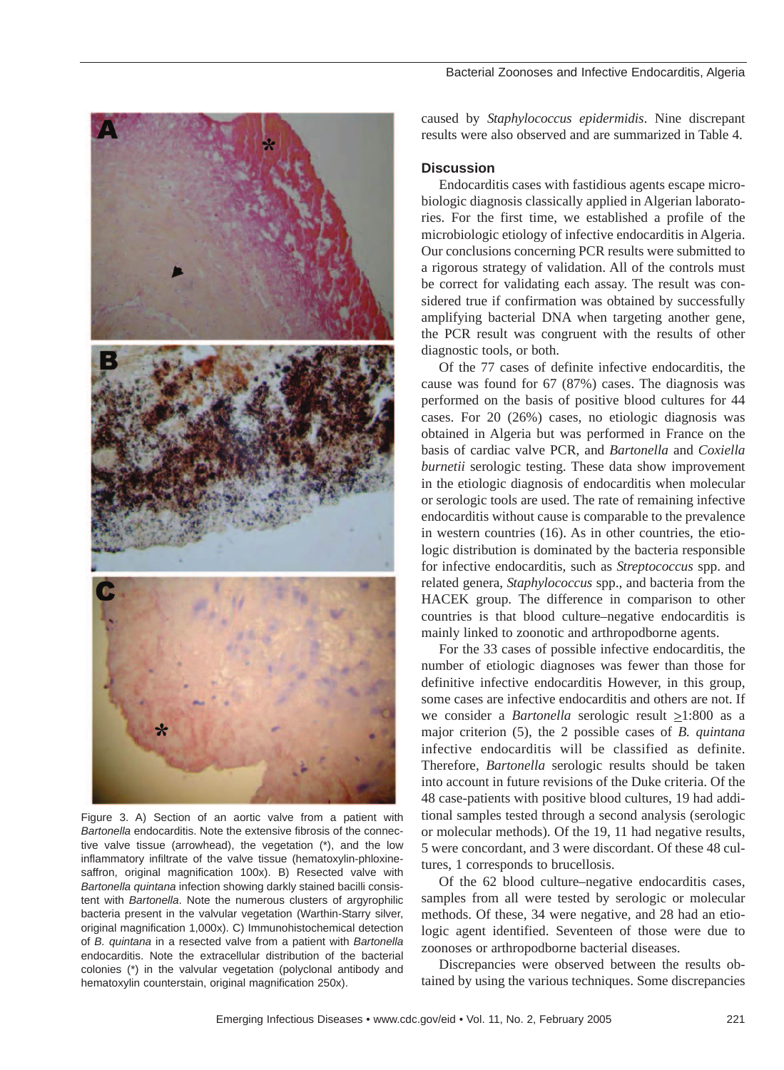

Figure 3. A) Section of an aortic valve from a patient with *Bartonella* endocarditis. Note the extensive fibrosis of the connective valve tissue (arrowhead), the vegetation (\*), and the low inflammatory infiltrate of the valve tissue (hematoxylin-phloxinesaffron, original magnification 100x). B) Resected valve with *Bartonella quintana* infection showing darkly stained bacilli consistent with *Bartonella*. Note the numerous clusters of argyrophilic bacteria present in the valvular vegetation (Warthin-Starry silver, original magnification 1,000x). C) Immunohistochemical detection of *B. quintana* in a resected valve from a patient with *Bartonella* endocarditis. Note the extracellular distribution of the bacterial colonies (\*) in the valvular vegetation (polyclonal antibody and hematoxylin counterstain, original magnification 250x).

caused by *Staphylococcus epidermidis*. Nine discrepant results were also observed and are summarized in Table 4.

## **Discussion**

Endocarditis cases with fastidious agents escape microbiologic diagnosis classically applied in Algerian laboratories. For the first time, we established a profile of the microbiologic etiology of infective endocarditis in Algeria. Our conclusions concerning PCR results were submitted to a rigorous strategy of validation. All of the controls must be correct for validating each assay. The result was considered true if confirmation was obtained by successfully amplifying bacterial DNA when targeting another gene, the PCR result was congruent with the results of other diagnostic tools, or both.

Of the 77 cases of definite infective endocarditis, the cause was found for 67 (87%) cases. The diagnosis was performed on the basis of positive blood cultures for 44 cases. For 20 (26%) cases, no etiologic diagnosis was obtained in Algeria but was performed in France on the basis of cardiac valve PCR, and *Bartonella* and *Coxiella burnetii* serologic testing. These data show improvement in the etiologic diagnosis of endocarditis when molecular or serologic tools are used. The rate of remaining infective endocarditis without cause is comparable to the prevalence in western countries (16). As in other countries, the etiologic distribution is dominated by the bacteria responsible for infective endocarditis, such as *Streptococcus* spp. and related genera, *Staphylococcus* spp., and bacteria from the HACEK group. The difference in comparison to other countries is that blood culture–negative endocarditis is mainly linked to zoonotic and arthropodborne agents.

For the 33 cases of possible infective endocarditis, the number of etiologic diagnoses was fewer than those for definitive infective endocarditis However, in this group, some cases are infective endocarditis and others are not. If we consider a *Bartonella* serologic result  $\geq$ 1:800 as a major criterion (5), the 2 possible cases of *B. quintana* infective endocarditis will be classified as definite. Therefore, *Bartonella* serologic results should be taken into account in future revisions of the Duke criteria. Of the 48 case-patients with positive blood cultures, 19 had additional samples tested through a second analysis (serologic or molecular methods). Of the 19, 11 had negative results, 5 were concordant, and 3 were discordant. Of these 48 cultures, 1 corresponds to brucellosis.

Of the 62 blood culture–negative endocarditis cases, samples from all were tested by serologic or molecular methods. Of these, 34 were negative, and 28 had an etiologic agent identified. Seventeen of those were due to zoonoses or arthropodborne bacterial diseases.

Discrepancies were observed between the results obtained by using the various techniques. Some discrepancies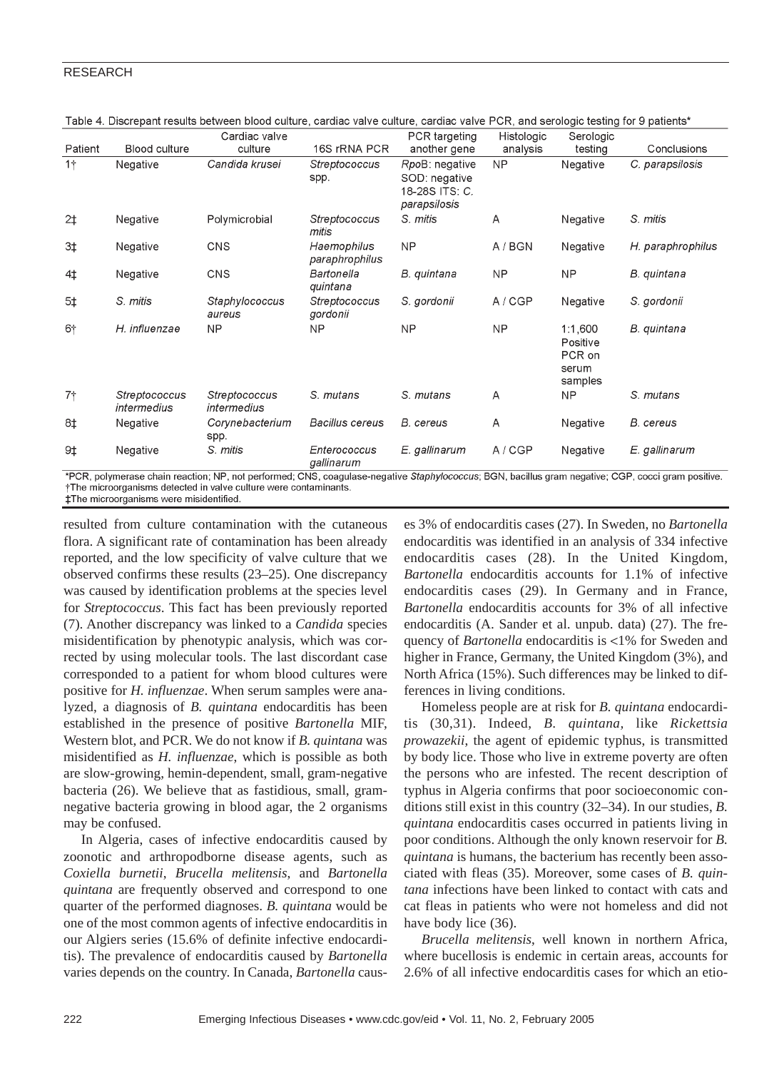|                |                              | Cardiac valve                |                               | PCR targeting                                                     | Histologic | Serologic                                         |                   |
|----------------|------------------------------|------------------------------|-------------------------------|-------------------------------------------------------------------|------------|---------------------------------------------------|-------------------|
| Patient        | <b>Blood culture</b>         | culture                      | 16S rRNA PCR                  | another gene                                                      | analysis   | testing                                           | Conclusions       |
| $1+$           | Negative                     | Candida krusei               | Streptococcus<br>spp.         | RpoB: negative<br>SOD: negative<br>18-28S ITS: C.<br>parapsilosis | NP         | Negative                                          | C. parapsilosis   |
| 2 <sup>†</sup> | Negative                     | Polymicrobial                | Streptococcus<br>mitis        | S. mitis                                                          | A          | Negative                                          | S. mitis          |
| $3+$           | Negative                     | <b>CNS</b>                   | Haemophilus<br>paraphrophilus | NP                                                                | A / BGN    | Negative                                          | H. paraphrophilus |
| 4‡             | Negative                     | <b>CNS</b>                   | Bartonella<br>quintana        | B. quintana                                                       | <b>NP</b>  | <b>NP</b>                                         | B. quintana       |
| 5 <sub>±</sub> | S. mitis                     | Staphylococcus<br>aureus     | Streptococcus<br>gordonii     | S. gordonii                                                       | A/CGP      | Negative                                          | S. gordonii       |
| $6+$           | H. influenzae                | <b>NP</b>                    | NP                            | NP                                                                | <b>NP</b>  | 1:1.600<br>Positive<br>PCR on<br>serum<br>samples | B. quintana       |
| 7†             | Streptococcus<br>intermedius | Streptococcus<br>intermedius | S. mutans                     | S. mutans                                                         | A          | <b>NP</b>                                         | S. mutans         |
| 8‡             | Negative                     | Corynebacterium<br>spp.      | <b>Bacillus cereus</b>        | B. cereus                                                         | A          | Negative                                          | B. cereus         |
| 9‡             | Negative                     | S. mitis                     | Enterococcus<br>gallinarum    | E. gallinarum                                                     | A/CGP      | Negative                                          | E. gallinarum     |

Table 4. Discrepant results between blood culture, cardiac valve culture, cardiac valve PCR, and serologic testing for 9 patients\*

\*PCR, polymerase chain reaction; NP, not performed; CNS, coagulase-negative Staphylococcus; BGN, bacillus gram negative; CGP, cocci gram positive. †The microorganisms detected in valve culture were contaminants. **‡The microorganisms were misidentified** 

resulted from culture contamination with the cutaneous flora. A significant rate of contamination has been already reported, and the low specificity of valve culture that we observed confirms these results (23–25). One discrepancy was caused by identification problems at the species level for *Streptococcus*. This fact has been previously reported (7). Another discrepancy was linked to a *Candida* species misidentification by phenotypic analysis, which was corrected by using molecular tools. The last discordant case corresponded to a patient for whom blood cultures were positive for *H. influenzae*. When serum samples were analyzed, a diagnosis of *B. quintana* endocarditis has been established in the presence of positive *Bartonella* MIF, Western blot, and PCR. We do not know if *B. quintana* was misidentified as *H. influenzae*, which is possible as both are slow-growing, hemin-dependent, small, gram-negative bacteria (26). We believe that as fastidious, small, gramnegative bacteria growing in blood agar, the 2 organisms may be confused.

In Algeria, cases of infective endocarditis caused by zoonotic and arthropodborne disease agents, such as *Coxiella burnetii*, *Brucella melitensis*, and *Bartonella quintana* are frequently observed and correspond to one quarter of the performed diagnoses. *B. quintana* would be one of the most common agents of infective endocarditis in our Algiers series (15.6% of definite infective endocarditis). The prevalence of endocarditis caused by *Bartonella* varies depends on the country. In Canada, *Bartonella* causes 3% of endocarditis cases (27). In Sweden, no *Bartonella* endocarditis was identified in an analysis of 334 infective endocarditis cases (28). In the United Kingdom, *Bartonella* endocarditis accounts for 1.1% of infective endocarditis cases (29). In Germany and in France, *Bartonella* endocarditis accounts for 3% of all infective endocarditis (A. Sander et al. unpub. data) (27). The frequency of *Bartonella* endocarditis is <1% for Sweden and higher in France, Germany, the United Kingdom (3%), and North Africa (15%). Such differences may be linked to differences in living conditions.

Homeless people are at risk for *B. quintana* endocarditis (30,31). Indeed, *B. quintana,* like *Rickettsia prowazekii*, the agent of epidemic typhus, is transmitted by body lice. Those who live in extreme poverty are often the persons who are infested. The recent description of typhus in Algeria confirms that poor socioeconomic conditions still exist in this country (32–34). In our studies, *B. quintana* endocarditis cases occurred in patients living in poor conditions. Although the only known reservoir for *B. quintana* is humans, the bacterium has recently been associated with fleas (35). Moreover, some cases of *B. quintana* infections have been linked to contact with cats and cat fleas in patients who were not homeless and did not have body lice (36).

*Brucella melitensis*, well known in northern Africa, where bucellosis is endemic in certain areas, accounts for 2.6% of all infective endocarditis cases for which an etio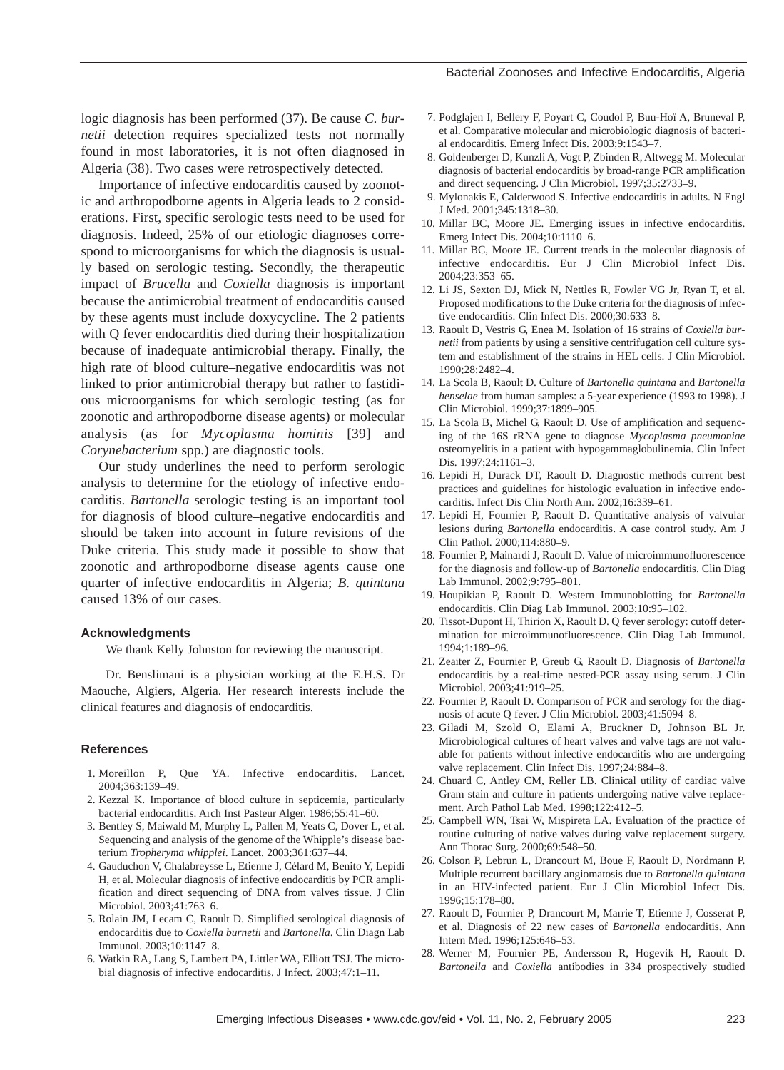logic diagnosis has been performed (37). Be cause *C. burnetii* detection requires specialized tests not normally found in most laboratories, it is not often diagnosed in Algeria (38). Two cases were retrospectively detected.

Importance of infective endocarditis caused by zoonotic and arthropodborne agents in Algeria leads to 2 considerations. First, specific serologic tests need to be used for diagnosis. Indeed, 25% of our etiologic diagnoses correspond to microorganisms for which the diagnosis is usually based on serologic testing. Secondly, the therapeutic impact of *Brucella* and *Coxiella* diagnosis is important because the antimicrobial treatment of endocarditis caused by these agents must include doxycycline. The 2 patients with Q fever endocarditis died during their hospitalization because of inadequate antimicrobial therapy. Finally, the high rate of blood culture–negative endocarditis was not linked to prior antimicrobial therapy but rather to fastidious microorganisms for which serologic testing (as for zoonotic and arthropodborne disease agents) or molecular analysis (as for *Mycoplasma hominis* [39] and *Corynebacterium* spp.) are diagnostic tools.

Our study underlines the need to perform serologic analysis to determine for the etiology of infective endocarditis. *Bartonella* serologic testing is an important tool for diagnosis of blood culture–negative endocarditis and should be taken into account in future revisions of the Duke criteria. This study made it possible to show that zoonotic and arthropodborne disease agents cause one quarter of infective endocarditis in Algeria; *B. quintana* caused 13% of our cases.

#### **Acknowledgments**

We thank Kelly Johnston for reviewing the manuscript.

Dr. Benslimani is a physician working at the E.H.S. Dr Maouche, Algiers, Algeria. Her research interests include the clinical features and diagnosis of endocarditis.

#### **References**

- 1. Moreillon P, Que YA. Infective endocarditis. Lancet. 2004;363:139–49.
- 2. Kezzal K. Importance of blood culture in septicemia, particularly bacterial endocarditis. Arch Inst Pasteur Alger. 1986;55:41–60.
- 3. Bentley S, Maiwald M, Murphy L, Pallen M, Yeats C, Dover L, et al. Sequencing and analysis of the genome of the Whipple's disease bacterium *Tropheryma whipplei*. Lancet. 2003;361:637–44.
- 4. Gauduchon V, Chalabreysse L, Etienne J, Célard M, Benito Y, Lepidi H, et al. Molecular diagnosis of infective endocarditis by PCR amplification and direct sequencing of DNA from valves tissue. J Clin Microbiol. 2003;41:763–6.
- 5. Rolain JM, Lecam C, Raoult D. Simplified serological diagnosis of endocarditis due to *Coxiella burnetii* and *Bartonella*. Clin Diagn Lab Immunol. 2003;10:1147–8.
- 6. Watkin RA, Lang S, Lambert PA, Littler WA, Elliott TSJ. The microbial diagnosis of infective endocarditis. J Infect. 2003;47:1–11.

7. Podglajen I, Bellery F, Poyart C, Coudol P, Buu-Hoï A, Bruneval P, et al. Comparative molecular and microbiologic diagnosis of bacterial endocarditis. Emerg Infect Dis. 2003;9:1543–7.

Bacterial Zoonoses and Infective Endocarditis, Algeria

- 8. Goldenberger D, Kunzli A, Vogt P, Zbinden R, Altwegg M. Molecular diagnosis of bacterial endocarditis by broad-range PCR amplification and direct sequencing. J Clin Microbiol. 1997;35:2733–9.
- 9. Mylonakis E, Calderwood S. Infective endocarditis in adults. N Engl J Med. 2001;345:1318–30.
- 10. Millar BC, Moore JE. Emerging issues in infective endocarditis. Emerg Infect Dis. 2004;10:1110–6.
- 11. Millar BC, Moore JE. Current trends in the molecular diagnosis of infective endocarditis. Eur J Clin Microbiol Infect Dis. 2004;23:353–65.
- 12. Li JS, Sexton DJ, Mick N, Nettles R, Fowler VG Jr, Ryan T, et al. Proposed modifications to the Duke criteria for the diagnosis of infective endocarditis. Clin Infect Dis. 2000;30:633–8.
- 13. Raoult D, Vestris G, Enea M. Isolation of 16 strains of *Coxiella burnetii* from patients by using a sensitive centrifugation cell culture system and establishment of the strains in HEL cells. J Clin Microbiol. 1990;28:2482–4.
- 14. La Scola B, Raoult D. Culture of *Bartonella quintana* and *Bartonella henselae* from human samples: a 5-year experience (1993 to 1998). J Clin Microbiol. 1999;37:1899–905.
- 15. La Scola B, Michel G, Raoult D. Use of amplification and sequencing of the 16S rRNA gene to diagnose *Mycoplasma pneumoniae* osteomyelitis in a patient with hypogammaglobulinemia. Clin Infect Dis. 1997;24:1161–3.
- 16. Lepidi H, Durack DT, Raoult D. Diagnostic methods current best practices and guidelines for histologic evaluation in infective endocarditis. Infect Dis Clin North Am. 2002;16:339–61.
- 17. Lepidi H, Fournier P, Raoult D. Quantitative analysis of valvular lesions during *Bartonella* endocarditis. A case control study. Am J Clin Pathol. 2000;114:880–9.
- 18. Fournier P, Mainardi J, Raoult D. Value of microimmunofluorescence for the diagnosis and follow-up of *Bartonella* endocarditis. Clin Diag Lab Immunol. 2002;9:795–801.
- 19. Houpikian P, Raoult D. Western Immunoblotting for *Bartonella* endocarditis. Clin Diag Lab Immunol. 2003;10:95–102.
- 20. Tissot-Dupont H, Thirion X, Raoult D. Q fever serology: cutoff determination for microimmunofluorescence. Clin Diag Lab Immunol. 1994;1:189–96.
- 21. Zeaiter Z, Fournier P, Greub G, Raoult D. Diagnosis of *Bartonella* endocarditis by a real-time nested-PCR assay using serum. J Clin Microbiol. 2003;41:919–25.
- 22. Fournier P, Raoult D. Comparison of PCR and serology for the diagnosis of acute Q fever. J Clin Microbiol. 2003;41:5094–8.
- 23. Giladi M, Szold O, Elami A, Bruckner D, Johnson BL Jr. Microbiological cultures of heart valves and valve tags are not valuable for patients without infective endocarditis who are undergoing valve replacement. Clin Infect Dis. 1997;24:884–8.
- 24. Chuard C, Antley CM, Reller LB. Clinical utility of cardiac valve Gram stain and culture in patients undergoing native valve replacement. Arch Pathol Lab Med. 1998;122:412–5.
- 25. Campbell WN, Tsai W, Mispireta LA. Evaluation of the practice of routine culturing of native valves during valve replacement surgery. Ann Thorac Surg. 2000;69:548–50.
- 26. Colson P, Lebrun L, Drancourt M, Boue F, Raoult D, Nordmann P. Multiple recurrent bacillary angiomatosis due to *Bartonella quintana* in an HIV-infected patient. Eur J Clin Microbiol Infect Dis. 1996;15:178–80.
- 27. Raoult D, Fournier P, Drancourt M, Marrie T, Etienne J, Cosserat P, et al. Diagnosis of 22 new cases of *Bartonella* endocarditis. Ann Intern Med. 1996;125:646–53.
- 28. Werner M, Fournier PE, Andersson R, Hogevik H, Raoult D. *Bartonella* and *Coxiella* antibodies in 334 prospectively studied